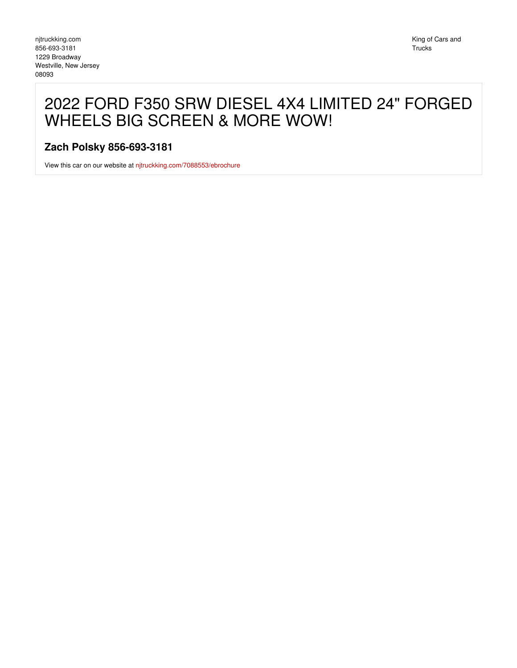## 2022 FORD F350 SRW DIESEL 4X4 LIMITED 24" FORGED WHEELS BIG SCREEN & MORE WOW!

## **Zach Polsky 856-693-3181**

View this car on our website at [njtruckking.com/7088553/ebrochure](https://njtruckking.com/vehicle/7088553/2022-ford-f350-srw-diesel-4x4-limited-24-forged-wheels-big-screen-more-wow-westville-new-jersey-08093/7088553/ebrochure)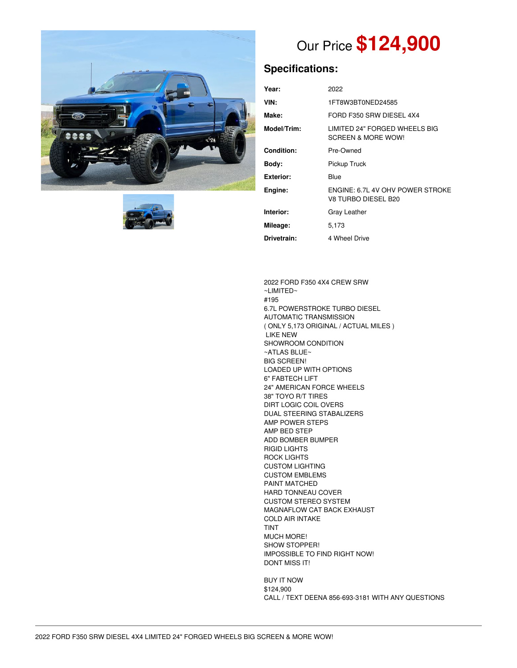



# Our Price **\$124,900**

## **Specifications:**

| Year:             | 2022                                                           |
|-------------------|----------------------------------------------------------------|
| VIN:              | 1FT8W3BT0NED24585                                              |
| Make:             | FORD F350 SRW DIESEL 4X4                                       |
| Model/Trim:       | LIMITED 24" FORGED WHEELS BIG<br><b>SCREEN &amp; MORE WOW!</b> |
| <b>Condition:</b> | Pre-Owned                                                      |
| Bodv:             | Pickup Truck                                                   |
| Exterior:         | Blue                                                           |
| Engine:           | FNGINE: 6.71 4V OHV POWER STROKE<br>V8 TURBO DIESEL B20        |
| Interior:         | Gray Leather                                                   |
| Mileage:          | 5.173                                                          |
| Drivetrain:       | 4 Wheel Drive                                                  |

2022 FORD F350 4X4 CREW SRW ~LIMITED~ #195 6.7L POWERSTROKE TURBO DIESEL AUTOMATIC TRANSMISSION ( ONLY 5,173 ORIGINAL / ACTUAL MILES ) LIKE NEW SHOWROOM CONDITION ~ATLAS BLUE~ BIG SCREEN! LOADED UP WITH OPTIONS 6" FABTECH LIFT 24" AMERICAN FORCE WHEELS 38" TOYO R/T TIRES DIRT LOGIC COIL OVERS DUAL STEERING STABALIZERS AMP POWER STEPS AMP BED STEP ADD BOMBER BUMPER RIGID LIGHTS ROCK LIGHTS CUSTOM LIGHTING CUSTOM EMBLEMS PAINT MATCHED HARD TONNEAU COVER CUSTOM STEREO SYSTEM MAGNAFLOW CAT BACK EXHAUST COLD AIR INTAKE TINT MUCH MORE! SHOW STOPPER! IMPOSSIBLE TO FIND RIGHT NOW! DONT MISS IT!

BUY IT NOW \$124,900 CALL / TEXT DEENA 856-693-3181 WITH ANY QUESTIONS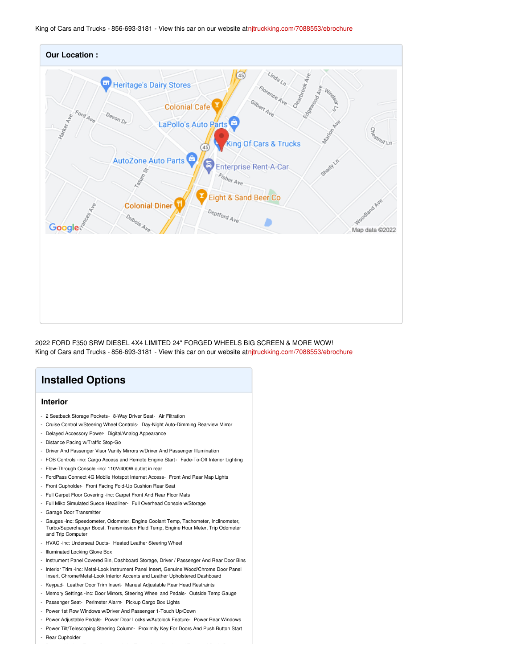King of Cars and Trucks - 856-693-3181 - View this car on our website at[njtruckking.com/7088553/ebrochure](https://njtruckking.com/vehicle/7088553/2022-ford-f350-srw-diesel-4x4-limited-24-forged-wheels-big-screen-more-wow-westville-new-jersey-08093/7088553/ebrochure)



2022 FORD F350 SRW DIESEL 4X4 LIMITED 24" FORGED WHEELS BIG SCREEN & MORE WOW! King of Cars and Trucks - 856-693-3181 - View this car on our website at[njtruckking.com/7088553/ebrochure](https://njtruckking.com/vehicle/7088553/2022-ford-f350-srw-diesel-4x4-limited-24-forged-wheels-big-screen-more-wow-westville-new-jersey-08093/7088553/ebrochure)

## **Installed Options**

#### **Interior**

- 2 Seatback Storage Pockets- 8-Way Driver Seat- Air Filtration
- Cruise Control w/Steering Wheel Controls- Day-Night Auto-Dimming Rearview Mirror
- Delayed Accessory Power- Digital/Analog Appearance
- Distance Pacing w/Traffic Stop-Go
- Driver And Passenger Visor Vanity Mirrors w/Driver And Passenger Illumination
- FOB Controls -inc: Cargo Access and Remote Engine Start- Fade-To-Off Interior Lighting
- Flow-Through Console -inc: 110V/400W outlet in rear
- FordPass Connect 4G Mobile Hotspot Internet Access- Front And Rear Map Lights
- Front Cupholder- Front Facing Fold-Up Cushion Rear Seat
- Full Carpet Floor Covering -inc: Carpet Front And Rear Floor Mats
- Full Miko Simulated Suede Headliner- Full Overhead Console w/Storage
- Garage Door Transmitter
- Gauges -inc: Speedometer, Odometer, Engine Coolant Temp, Tachometer, Inclinometer, Turbo/Supercharger Boost, Transmission Fluid Temp, Engine Hour Meter, Trip Odometer and Trip Computer
- HVAC -inc: Underseat Ducts- Heated Leather Steering Wheel
- Illuminated Locking Glove Box
- Instrument Panel Covered Bin, Dashboard Storage, Driver / Passenger And Rear Door Bins
- Interior Trim -inc: Metal-Look Instrument Panel Insert, Genuine Wood/Chrome Door Panel Insert, Chrome/Metal-Look Interior Accents and Leather Upholstered Dashboard
- Keypad- Leather Door Trim Insert- Manual Adjustable Rear Head Restraints
- Memory Settings -inc: Door Mirrors, Steering Wheel and Pedals- Outside Temp Gauge
- Passenger Seat- Perimeter Alarm- Pickup Cargo Box Lights
- Power 1st Row Windows w/Driver And Passenger 1-Touch Up/Down
- Power Adjustable Pedals- Power Door Locks w/Autolock Feature- Power Rear Windows
- Power Tilt/Telescoping Steering Column- Proximity Key For Doors And Push Button Start
- Rear Cupholder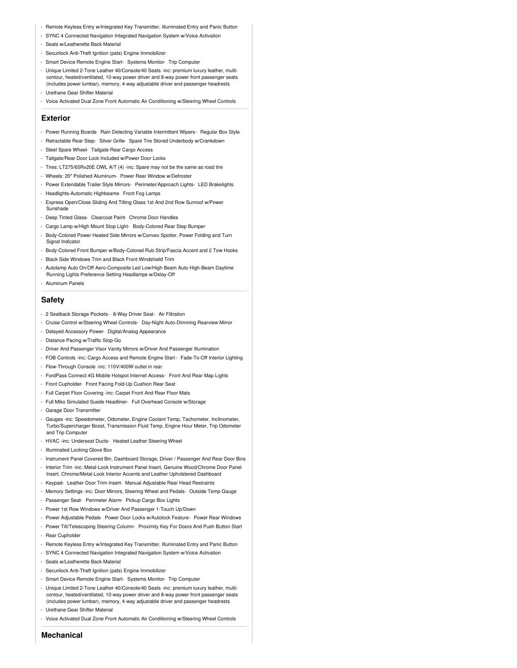- Remote Keyless Entry w/Integrated Key Transmitter, Illuminated Entry and Panic Button
- SYNC 4 Connected Navigation Integrated Navigation System w/Voice Activation
- Seats w/Leatherette Back Material
- Securilock Anti-Theft Ignition (pats) Engine Immobilizer
- Smart Device Remote Engine Start- Systems Monitor- Trip Computer
- Unique Limited 2-Tone Leather 40/Console/40 Seats -inc: premium luxury leather, multicontour, heated/ventilated, 10-way power driver and 8-way power front passenger seats (includes power lumbar), memory, 4-way adjustable driver and passenger headrests
- Urethane Gear Shifter Material
- Voice Activated Dual Zone Front Automatic Air Conditioning w/Steering Wheel Controls

#### **Exterior**

- Power Running Boards- Rain Detecting Variable Intermittent Wipers- Regular Box Style
- Retractable Rear Step- Silver Grille- Spare Tire Stored Underbody w/Crankdown
- Steel Spare Wheel- Tailgate Rear Cargo Access
- Tailgate/Rear Door Lock Included w/Power Door Locks
- Tires: LT275/65Rx20E OWL A/T (4) -inc: Spare may not be the same as road tire
- Wheels: 20" Polished Aluminum- Power Rear Window w/Defroster
- Power Extendable Trailer Style Mirrors- Perimeter/Approach Lights- LED Brakelights
- Headlights-Automatic Highbeams- Front Fog Lamps
- Express Open/Close Sliding And Tilting Glass 1st And 2nd Row Sunroof w/Power **Sunshade**
- Deep Tinted Glass- Clearcoat Paint- Chrome Door Handles
- Cargo Lamp w/High Mount Stop Light- Body-Colored Rear Step Bumper
- Body-Colored Power Heated Side Mirrors w/Convex Spotter, Power Folding and Turn Signal Indicator
- Body-Colored Front Bumper w/Body-Colored Rub Strip/Fascia Accent and 2 Tow Hooks - Black Side Windows Trim and Black Front Windshield Trim
- Autolamp Auto On/Off Aero-Composite Led Low/High Beam Auto High-Beam Daytime
- Running Lights Preference Setting Headlamps w/Delay-Off
- Aluminum Panels

#### **Safety**

- 2 Seatback Storage Pockets- 8-Way Driver Seat- Air Filtration
- Cruise Control w/Steering Wheel Controls- Day-Night Auto-Dimming Rearview Mirror
- Delayed Accessory Power- Digital/Analog Appearance
- Distance Pacing w/Traffic Stop-Go
- Driver And Passenger Visor Vanity Mirrors w/Driver And Passenger Illumination
- FOB Controls -inc: Cargo Access and Remote Engine Start- Fade-To-Off Interior Lighting
- Flow-Through Console -inc: 110V/400W outlet in rear
- FordPass Connect 4G Mobile Hotspot Internet Access- Front And Rear Map Lights
- Front Cupholder- Front Facing Fold-Up Cushion Rear Seat
- Full Carpet Floor Covering -inc: Carpet Front And Rear Floor Mats
- Full Miko Simulated Suede Headliner- Full Overhead Console w/Storage
- Garage Door Transmitter
- Gauges -inc: Speedometer, Odometer, Engine Coolant Temp, Tachometer, Inclinometer, Turbo/Supercharger Boost, Transmission Fluid Temp, Engine Hour Meter, Trip Odometer and Trip Computer
- HVAC -inc: Underseat Ducts- Heated Leather Steering Wheel
- Illuminated Locking Glove Box
- Instrument Panel Covered Bin, Dashboard Storage, Driver / Passenger And Rear Door Bins
- Interior Trim -inc: Metal-Look Instrument Panel Insert, Genuine Wood/Chrome Door Panel
- Insert, Chrome/Metal-Look Interior Accents and Leather Upholstered Dashboard
- Keypad- Leather Door Trim Insert- Manual Adjustable Rear Head Restraints
- Memory Settings -inc: Door Mirrors, Steering Wheel and Pedals- Outside Temp Gauge
- Passenger Seat- Perimeter Alarm- Pickup Cargo Box Lights
- Power 1st Row Windows w/Driver And Passenger 1-Touch Up/Down
- Power Adjustable Pedals- Power Door Locks w/Autolock Feature- Power Rear Windows
- Power Tilt/Telescoping Steering Column- Proximity Key For Doors And Push Button Start
- Rear Cupholder
- Remote Keyless Entry w/Integrated Key Transmitter, Illuminated Entry and Panic Button
- SYNC 4 Connected Navigation Integrated Navigation System w/Voice Activation
- Seats w/Leatherette Back Material
- Securilock Anti-Theft Ignition (pats) Engine Immobilizer
- Smart Device Remote Engine Start- Systems Monitor- Trip Computer
- Unique Limited 2-Tone Leather 40/Console/40 Seats -inc: premium luxury leather, multicontour, heated/ventilated, 10-way power driver and 8-way power front passenger seats (includes power lumbar), memory, 4-way adjustable driver and passenger headrests
- Urethane Gear Shifter Material
- Voice Activated Dual Zone Front Automatic Air Conditioning w/Steering Wheel Controls

**Mechanical**